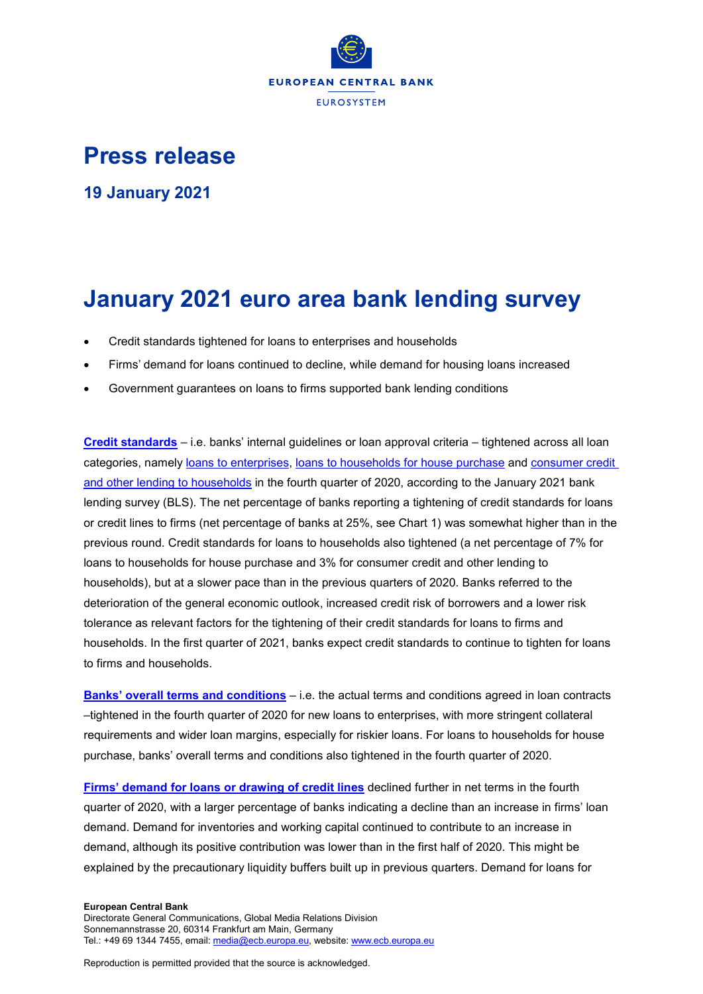

# **Press release**

**19 January 2021**

# **January 2021 euro area bank lending survey**

- Credit standards tightened for loans to enterprises and households
- Firms' demand for loans continued to decline, while demand for housing loans increased
- Government guarantees on loans to firms supported bank lending conditions

**Credit standards** – i.e. [banks' internal guidelines or loan approval criteria –](https://sdw.ecb.europa.eu/quickview.do?SERIES_KEY=258.BLS.Q.U2.ALL.O.E.Z.B3.ST.S.BWFNET) tightened across all loan categories, namely [loans to enterprises,](https://sdw.ecb.europa.eu/quickview.do?SERIES_KEY=258.BLS.Q.U2.ALL.O.E.Z.B3.ST.S.BWFNET) [loans to households for house purchase](https://sdw.ecb.europa.eu/quickview.do?SERIES_KEY=258.BLS.Q.U2.ALL.Z.H.H.B3.ST.S.BWFNET) and [consumer credit](https://sdw.ecb.europa.eu/quickview.do?SERIES_KEY=258.BLS.Q.U2.ALL.Z.H.C.B3.ST.S.BWFNET)  [and other lending to households](https://sdw.ecb.europa.eu/quickview.do?SERIES_KEY=258.BLS.Q.U2.ALL.Z.H.C.B3.ST.S.BWFNET) in the fourth quarter of 2020, according to the January 2021 bank lending survey (BLS). The net percentage of banks reporting a tightening of credit standards for loans or credit lines to firms (net percentage of banks at 25%, see Chart 1) was somewhat higher than in the previous round. Credit standards for loans to households also tightened (a net percentage of 7% for loans to households for house purchase and 3% for consumer credit and other lending to households), but at a slower pace than in the previous quarters of 2020. Banks referred to the deterioration of the general economic outlook, increased credit risk of borrowers and a lower risk tolerance as relevant factors for the tightening of their credit standards for loans to firms and households. In the first quarter of 2021, banks expect credit standards to continue to tighten for loans to firms and households.

**[Banks' overall terms and conditions](https://sdw.ecb.europa.eu/browseSelection.do?type=series&q=BLS.Q.U2.ALL.O.E.Z.B3.TC.S.BWFNET%2c+BLS.Q.U2.ALL.O.H.H.B3.TC.S.BWFNET%2c+BLS.Q.U2.ALL.O.H.C.B3.TC.S.BWFNET&node=SEARCHRESULTS&ec=&oc=&rc=&cv=&pb=&dc=&df=)** – i.e. the actual terms and conditions agreed in loan contracts –tightened in the fourth quarter of 2020 for new loans to enterprises, with more stringent collateral requirements and wider loan margins, especially for riskier loans. For loans to households for house purchase, banks' overall terms and conditions also tightened in the fourth quarter of 2020.

**[Firms' demand for loans or drawing of credit lines](https://sdw.ecb.europa.eu/quickview.do?SERIES_KEY=258.BLS.Q.U2.ALL.O.E.Z.B3.ZZ.D.BWFNET)** declined further in net terms in the fourth quarter of 2020, with a larger percentage of banks indicating a decline than an increase in firms' loan demand. Demand for inventories and working capital continued to contribute to an increase in demand, although its positive contribution was lower than in the first half of 2020. This might be explained by the precautionary liquidity buffers built up in previous quarters. Demand for loans for

#### **European Central Bank**

Directorate General Communications, Global Media Relations Division Sonnemannstrasse 20, 60314 Frankfurt am Main, Germany Tel.: +49 69 1344 7455, email[: media@ecb.europa.eu,](mailto:media@ecb.europa.eu) website[: www.ecb.europa.eu](http://www.ecb.europa.eu/)

Reproduction is permitted provided that the source is acknowledged.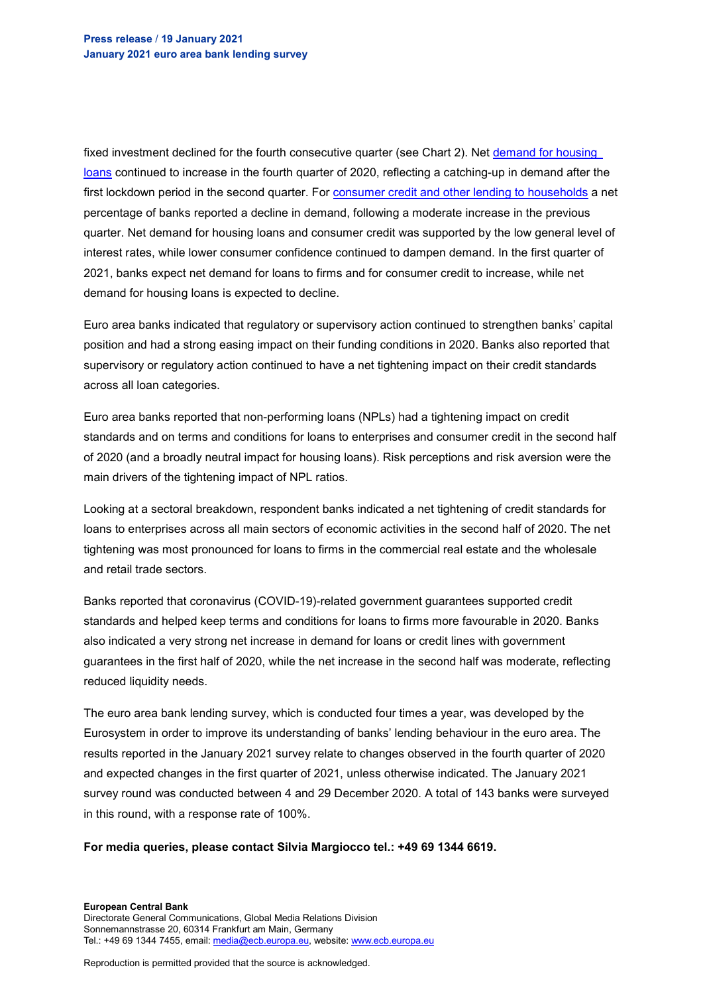fixed investment declined for the fourth consecutive quarter (see Chart 2). Net [demand for housing](https://sdw.ecb.europa.eu/quickview.do?SERIES_KEY=258.BLS.Q.U2.ALL.Z.H.H.B3.ZZ.D.BWFNET)  [loans](https://sdw.ecb.europa.eu/quickview.do?SERIES_KEY=258.BLS.Q.U2.ALL.Z.H.H.B3.ZZ.D.BWFNET) continued to increase in the fourth quarter of 2020, reflecting a catching-up in demand after the first lockdown period in the second quarter. For [consumer credit and other lending to households](https://sdw.ecb.europa.eu/quickview.do?SERIES_KEY=258.BLS.Q.U2.ALL.Z.H.C.B3.ZZ.D.BWFNET) a net percentage of banks reported a decline in demand, following a moderate increase in the previous quarter. Net demand for housing loans and consumer credit was supported by the low general level of interest rates, while lower consumer confidence continued to dampen demand. In the first quarter of 2021, banks expect net demand for loans to firms and for consumer credit to increase, while net demand for housing loans is expected to decline.

Euro area banks indicated that regulatory or supervisory action continued to strengthen banks' capital position and had a strong easing impact on their funding conditions in 2020. Banks also reported that supervisory or regulatory action continued to have a net tightening impact on their credit standards across all loan categories.

Euro area banks reported that non-performing loans (NPLs) had a tightening impact on credit standards and on terms and conditions for loans to enterprises and consumer credit in the second half of 2020 (and a broadly neutral impact for housing loans). Risk perceptions and risk aversion were the main drivers of the tightening impact of NPL ratios.

Looking at a sectoral breakdown, respondent banks indicated a net tightening of credit standards for loans to enterprises across all main sectors of economic activities in the second half of 2020. The net tightening was most pronounced for loans to firms in the commercial real estate and the wholesale and retail trade sectors.

Banks reported that coronavirus (COVID-19)-related government guarantees supported credit standards and helped keep terms and conditions for loans to firms more favourable in 2020. Banks also indicated a very strong net increase in demand for loans or credit lines with government guarantees in the first half of 2020, while the net increase in the second half was moderate, reflecting reduced liquidity needs.

The euro area bank lending survey, which is conducted four times a year, was developed by the Eurosystem in order to improve its understanding of banks' lending behaviour in the euro area. The results reported in the January 2021 survey relate to changes observed in the fourth quarter of 2020 and expected changes in the first quarter of 2021, unless otherwise indicated. The January 2021 survey round was conducted between 4 and 29 December 2020. A total of 143 banks were surveyed in this round, with a response rate of 100%.

## **For media queries, please contact Silvia Margiocco tel.: +49 69 1344 6619.**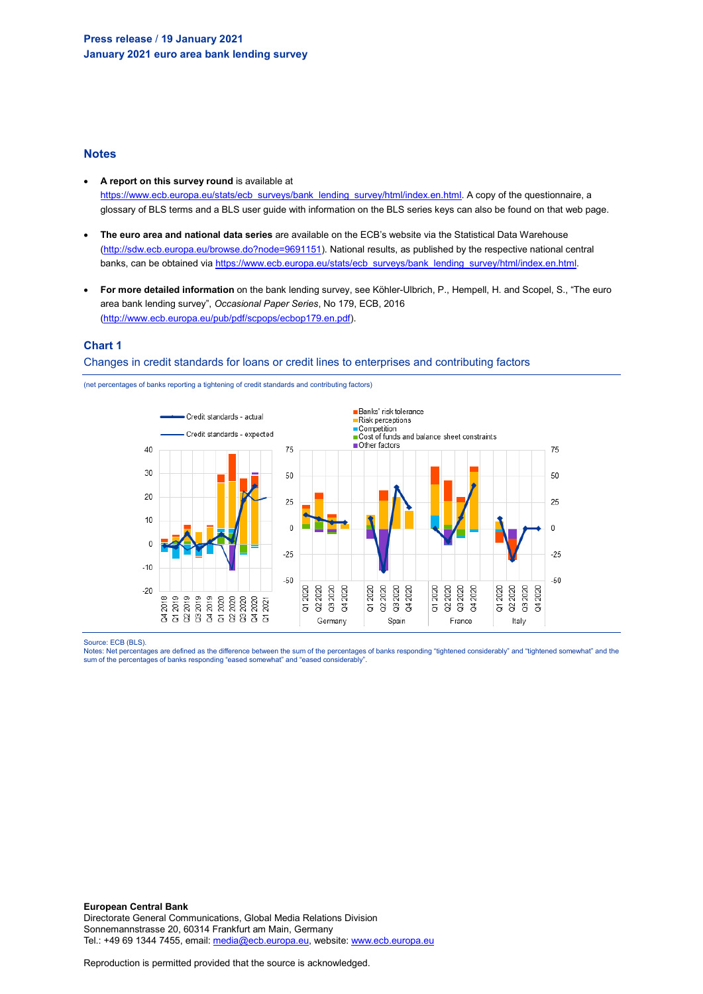## **Notes**

- **A report on this survey round** is available at [https://www.ecb.europa.eu/stats/ecb\\_surveys/bank\\_lending\\_survey/html/index.en.html.](https://www.ecb.europa.eu/stats/ecb_surveys/bank_lending_survey/html/index.en.html) A copy of the questionnaire, a glossary of BLS terms and a BLS user guide with information on the BLS series keys can also be found on that web page.
- **The euro area and national data series** are available on the ECB's website via the Statistical Data Warehouse [\(http://sdw.ecb.europa.eu/browse.do?node=9691151\)](http://sdw.ecb.europa.eu/browse.do?node=9691151). National results, as published by the respective national central banks, can be obtained vi[a https://www.ecb.europa.eu/stats/ecb\\_surveys/bank\\_lending\\_survey/html/index.en.html.](https://www.ecb.europa.eu/stats/ecb_surveys/bank_lending_survey/html/index.en.html)
- **For more detailed information** on the bank lending survey, see Köhler-Ulbrich, P., Hempell, H. and Scopel, S., "The euro area bank lending survey", *Occasional Paper Series*, No 179, ECB, 2016 [\(http://www.ecb.europa.eu/pub/pdf/scpops/ecbop179.en.pdf\)](http://www.ecb.europa.eu/pub/pdf/scpops/ecbop179.en.pdf).

## **Chart 1**

### Changes in credit standards for loans or credit lines to enterprises and contributing factors





Source: ECB (BLS).

Notes: Net percentages are defined as the difference between the sum of the percentages of banks responding "tightened considerably" and "tightened somewhat" and the<br>sum of the percentages of banks responding "eased somewh

**European Central Bank** Directorate General Communications, Global Media Relations Division Sonnemannstrasse 20, 60314 Frankfurt am Main, Germany Tel.: +49 69 1344 7455, email[: media@ecb.europa.eu,](mailto:media@ecb.europa.eu) website[: www.ecb.europa.eu](http://www.ecb.europa.eu/)